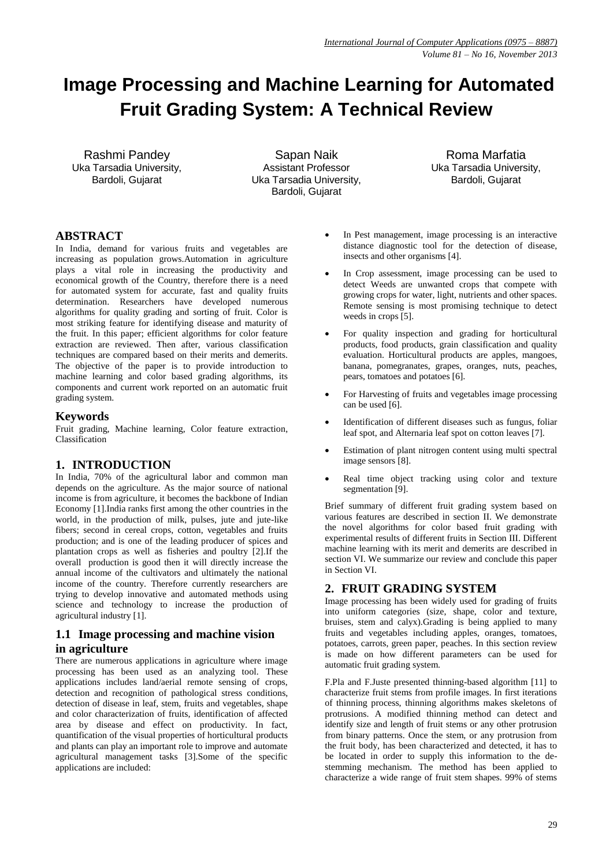# **Image Processing and Machine Learning for Automated Fruit Grading System: A Technical Review**

Rashmi Pandey Uka Tarsadia University, Bardoli, Gujarat

Sapan Naik Assistant Professor Uka Tarsadia University, Bardoli, Gujarat

Roma Marfatia Uka Tarsadia University, Bardoli, Gujarat

# **ABSTRACT**

In India, demand for various fruits and vegetables are increasing as population grows.Automation in agriculture plays a vital role in increasing the productivity and economical growth of the Country, therefore there is a need for automated system for accurate, fast and quality fruits determination. Researchers have developed numerous algorithms for quality grading and sorting of fruit. Color is most striking feature for identifying disease and maturity of the fruit. In this paper; efficient algorithms for color feature extraction are reviewed. Then after, various classification techniques are compared based on their merits and demerits. The objective of the paper is to provide introduction to machine learning and color based grading algorithms, its components and current work reported on an automatic fruit grading system.

## **Keywords**

Fruit grading, Machine learning, Color feature extraction, Classification

# **1. INTRODUCTION**

In India, 70% of the agricultural labor and common man depends on the agriculture. As the major source of national income is from agriculture, it becomes the backbone of Indian Economy [1].India ranks first among the other countries in the world, in the production of milk, pulses, jute and jute-like fibers; second in cereal crops, cotton, vegetables and fruits production; and is one of the leading producer of spices and plantation crops as well as fisheries and poultry [2].If the overall production is good then it will directly increase the annual income of the cultivators and ultimately the national income of the country. Therefore currently researchers are trying to develop innovative and automated methods using science and technology to increase the production of agricultural industry [1].

# **1.1 Image processing and machine vision in agriculture**

There are numerous applications in agriculture where image processing has been used as an analyzing tool. These applications includes land/aerial remote sensing of crops, detection and recognition of pathological stress conditions, detection of disease in leaf, stem, fruits and vegetables, shape and color characterization of fruits, identification of affected area by disease and effect on productivity. In fact, quantification of the visual properties of horticultural products and plants can play an important role to improve and automate agricultural management tasks [3].Some of the specific applications are included:

- In Pest management, image processing is an interactive distance diagnostic tool for the detection of disease, insects and other organisms [4].
- In Crop assessment, image processing can be used to detect Weeds are unwanted crops that compete with growing crops for water, light, nutrients and other spaces. Remote sensing is most promising technique to detect weeds in crops [5].
- For quality inspection and grading for horticultural products, food products, grain classification and quality evaluation. Horticultural products are apples, mangoes, banana, pomegranates, grapes, oranges, nuts, peaches, pears, tomatoes and potatoes [6].
- For Harvesting of fruits and vegetables image processing can be used [6].
- Identification of different diseases such as fungus, foliar leaf spot, and Alternaria leaf spot on cotton leaves [7].
- Estimation of plant nitrogen content using multi spectral image sensors [8].
- Real time object tracking using color and texture segmentation [9].

Brief summary of different fruit grading system based on various features are described in section II. We demonstrate the novel algorithms for color based fruit grading with experimental results of different fruits in Section III. Different machine learning with its merit and demerits are described in section VI. We summarize our review and conclude this paper in Section VI.

# **2. FRUIT GRADING SYSTEM**

Image processing has been widely used for grading of fruits into uniform categories (size, shape, color and texture, bruises, stem and calyx).Grading is being applied to many fruits and vegetables including apples, oranges, tomatoes, potatoes, carrots, green paper, peaches. In this section review is made on how different parameters can be used for automatic fruit grading system.

F.Pla and F.Juste presented thinning-based algorithm [11] to characterize fruit stems from profile images. In first iterations of thinning process, thinning algorithms makes skeletons of protrusions. A modified thinning method can detect and identify size and length of fruit stems or any other protrusion from binary patterns. Once the stem, or any protrusion from the fruit body, has been characterized and detected, it has to be located in order to supply this information to the destemming mechanism. The method has been applied to characterize a wide range of fruit stem shapes. 99% of stems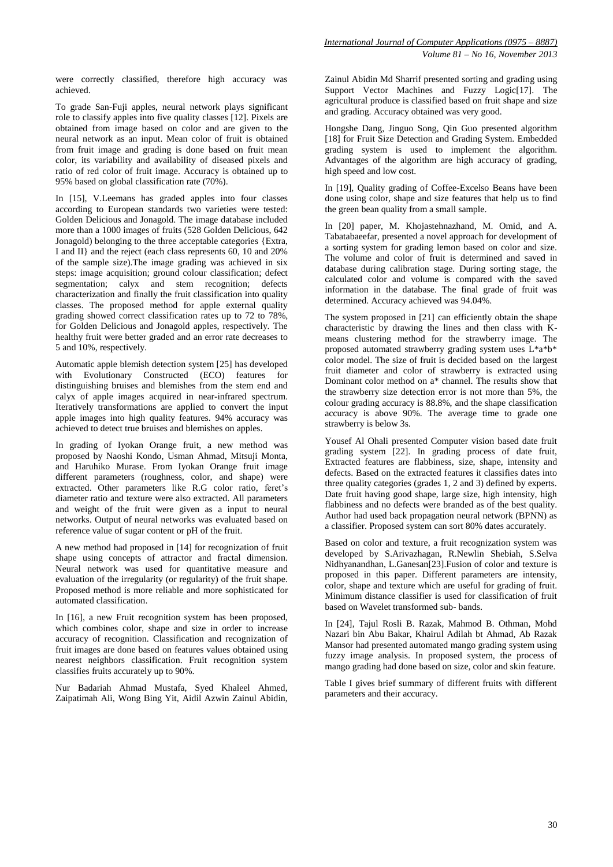were correctly classified, therefore high accuracy was achieved.

To grade San-Fuji apples, neural network plays significant role to classify apples into five quality classes [12]. Pixels are obtained from image based on color and are given to the neural network as an input. Mean color of fruit is obtained from fruit image and grading is done based on fruit mean color, its variability and availability of diseased pixels and ratio of red color of fruit image. Accuracy is obtained up to 95% based on global classification rate (70%).

In [15], V.Leemans has graded apples into four classes according to European standards two varieties were tested: Golden Delicious and Jonagold. The image database included more than a 1000 images of fruits (528 Golden Delicious, 642 Jonagold) belonging to the three acceptable categories {Extra, I and II} and the reject (each class represents 60, 10 and 20% of the sample size).The image grading was achieved in six steps: image acquisition; ground colour classification; defect segmentation; calyx and stem recognition; defects characterization and finally the fruit classification into quality classes. The proposed method for apple external quality grading showed correct classification rates up to 72 to 78%, for Golden Delicious and Jonagold apples, respectively. The healthy fruit were better graded and an error rate decreases to 5 and 10%, respectively.

Automatic apple blemish detection system [25] has developed with Evolutionary Constructed (ECO) features for distinguishing bruises and blemishes from the stem end and calyx of apple images acquired in near-infrared spectrum. Iteratively transformations are applied to convert the input apple images into high quality features. 94% accuracy was achieved to detect true bruises and blemishes on apples.

In grading of Iyokan Orange fruit, a new method was proposed by Naoshi Kondo, Usman Ahmad, Mitsuji Monta, and Haruhiko Murase. From Iyokan Orange fruit image different parameters (roughness, color, and shape) were extracted. Other parameters like R.G color ratio, feret's diameter ratio and texture were also extracted. All parameters and weight of the fruit were given as a input to neural networks. Output of neural networks was evaluated based on reference value of sugar content or pH of the fruit.

A new method had proposed in [14] for recognization of fruit shape using concepts of attractor and fractal dimension. Neural network was used for quantitative measure and evaluation of the irregularity (or regularity) of the fruit shape. Proposed method is more reliable and more sophisticated for automated classification.

In [16], a new Fruit recognition system has been proposed, which combines color, shape and size in order to increase accuracy of recognition. Classification and recognization of fruit images are done based on features values obtained using nearest neighbors classification. Fruit recognition system classifies fruits accurately up to 90%.

Nur Badariah Ahmad Mustafa, Syed Khaleel Ahmed, Zaipatimah Ali, Wong Bing Yit, Aidil Azwin Zainul Abidin, Zainul Abidin Md Sharrif presented sorting and grading using Support Vector Machines and Fuzzy Logic[17]. The agricultural produce is classified based on fruit shape and size and grading. Accuracy obtained was very good.

Hongshe Dang, Jinguo Song, Qin Guo presented algorithm [18] for Fruit Size Detection and Grading System. Embedded grading system is used to implement the algorithm. Advantages of the algorithm are high accuracy of grading, high speed and low cost.

In [19], Quality grading of Coffee-Excelso Beans have been done using color, shape and size features that help us to find the green bean quality from a small sample.

In [20] paper, M. Khojastehnazhand, M. Omid, and A. Tabatabaeefar, presented a novel approach for development of a sorting system for grading lemon based on color and size. The volume and color of fruit is determined and saved in database during calibration stage. During sorting stage, the calculated color and volume is compared with the saved information in the database. The final grade of fruit was determined. Accuracy achieved was 94.04%.

The system proposed in [21] can efficiently obtain the shape characteristic by drawing the lines and then class with Kmeans clustering method for the strawberry image. The proposed automated strawberry grading system uses L\*a\*b\* color model. The size of fruit is decided based on the largest fruit diameter and color of strawberry is extracted using Dominant color method on a\* channel. The results show that the strawberry size detection error is not more than 5%, the colour grading accuracy is 88.8%, and the shape classification accuracy is above 90%. The average time to grade one strawberry is below 3s.

Yousef Al Ohali presented Computer vision based date fruit grading system [22]. In grading process of date fruit, Extracted features are flabbiness, size, shape, intensity and defects. Based on the extracted features it classifies dates into three quality categories (grades 1, 2 and 3) defined by experts. Date fruit having good shape, large size, high intensity, high flabbiness and no defects were branded as of the best quality. Author had used back propagation neural network (BPNN) as a classifier. Proposed system can sort 80% dates accurately.

Based on color and texture, a fruit recognization system was developed by S.Arivazhagan, R.Newlin Shebiah, S.Selva Nidhyanandhan, L.Ganesan[23].Fusion of color and texture is proposed in this paper. Different parameters are intensity, color, shape and texture which are useful for grading of fruit. Minimum distance classifier is used for classification of fruit based on Wavelet transformed sub- bands.

In [24], Tajul Rosli B. Razak, Mahmod B. Othman, Mohd Nazari bin Abu Bakar, Khairul Adilah bt Ahmad, Ab Razak Mansor had presented automated mango grading system using fuzzy image analysis. In proposed system, the process of mango grading had done based on size, color and skin feature.

Table I gives brief summary of different fruits with different parameters and their accuracy.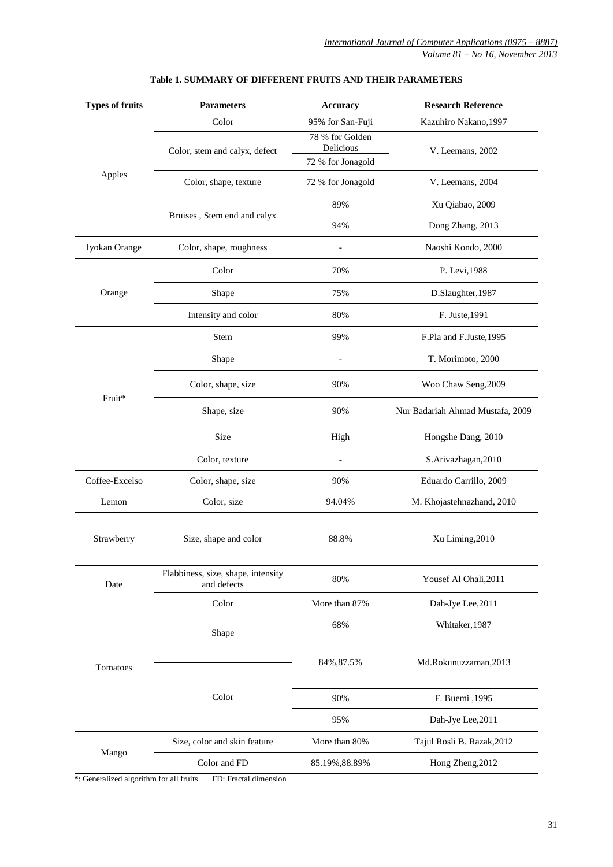| <b>Types of fruits</b> | <b>Parameters</b>                                 | <b>Accuracy</b>              | <b>Research Reference</b>        |  |
|------------------------|---------------------------------------------------|------------------------------|----------------------------------|--|
|                        | Color                                             | 95% for San-Fuji             | Kazuhiro Nakano, 1997            |  |
|                        | Color, stem and calyx, defect                     | 78 % for Golden<br>Delicious | V. Leemans, 2002                 |  |
|                        |                                                   | 72 % for Jonagold            |                                  |  |
| Apples                 | Color, shape, texture                             | 72 % for Jonagold            | V. Leemans, 2004                 |  |
|                        |                                                   | 89%                          | Xu Qiabao, 2009                  |  |
|                        | Bruises, Stem end and calyx                       | 94%                          | Dong Zhang, 2013                 |  |
| Iyokan Orange          | Color, shape, roughness                           |                              | Naoshi Kondo, 2000               |  |
|                        | Color                                             | 70%                          | P. Levi, 1988                    |  |
| Orange                 | Shape                                             | 75%                          | D.Slaughter, 1987                |  |
|                        | Intensity and color                               | 80%                          | F. Juste, 1991                   |  |
|                        | Stem                                              | 99%                          | F.Pla and F.Juste, 1995          |  |
|                        | Shape                                             |                              | T. Morimoto, 2000                |  |
| Fruit*                 | Color, shape, size                                | 90%                          | Woo Chaw Seng, 2009              |  |
|                        | Shape, size                                       | 90%                          | Nur Badariah Ahmad Mustafa, 2009 |  |
|                        | <b>Size</b>                                       | High                         | Hongshe Dang, 2010               |  |
|                        | Color, texture                                    |                              | S.Arivazhagan, 2010              |  |
| Coffee-Excelso         | Color, shape, size                                | 90%                          | Eduardo Carrillo, 2009           |  |
| Lemon                  | Color, size                                       | 94.04%                       | M. Khojastehnazhand, 2010        |  |
| Strawberry             | Size, shape and color                             | 88.8%                        | Xu Liming, 2010                  |  |
| Date                   | Flabbiness, size, shape, intensity<br>and defects | 80%                          | Yousef Al Ohali, 2011            |  |
|                        | Color                                             | More than 87%                | Dah-Jye Lee, 2011                |  |
|                        | Shape                                             | 68%                          | Whitaker, 1987                   |  |
| Tomatoes               |                                                   | 84%, 87.5%                   | Md.Rokunuzzaman,2013             |  |
|                        | Color                                             | 90%                          | F. Buemi , 1995                  |  |
|                        |                                                   | 95%                          | Dah-Jye Lee, 2011                |  |
|                        | Size, color and skin feature                      | More than 80%                | Tajul Rosli B. Razak, 2012       |  |
| Mango                  | Color and FD                                      | 85.19%, 88.89%               | Hong Zheng, 2012                 |  |

## **Table 1. SUMMARY OF DIFFERENT FRUITS AND THEIR PARAMETERS**

**\***: Generalized algorithm for all fruits FD: Fractal dimension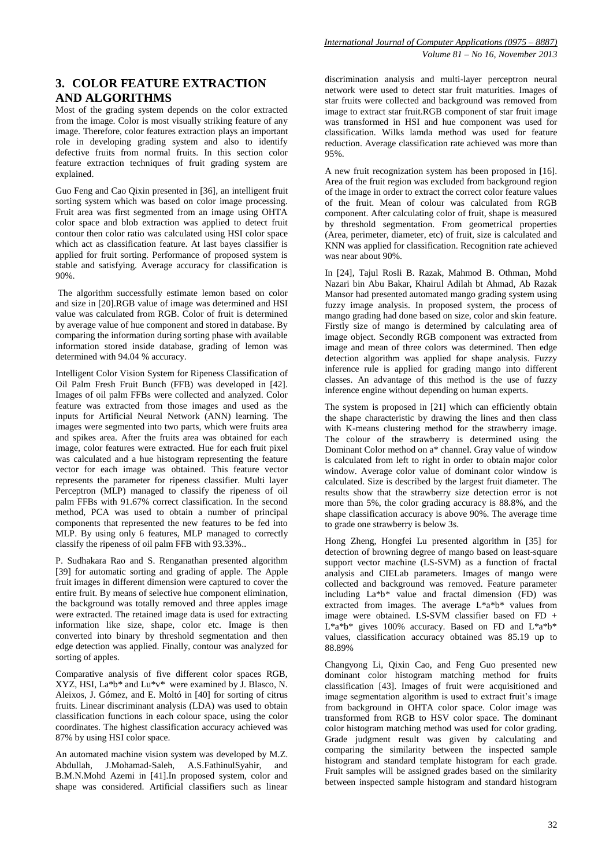# **3. COLOR FEATURE EXTRACTION AND ALGORITHMS**

Most of the grading system depends on the color extracted from the image. Color is most visually striking feature of any image. Therefore, color features extraction plays an important role in developing grading system and also to identify defective fruits from normal fruits. In this section color feature extraction techniques of fruit grading system are explained.

Guo Feng and Cao Qixin presented in [36], an intelligent fruit sorting system which was based on color image processing. Fruit area was first segmented from an image using OHTA color space and blob extraction was applied to detect fruit contour then color ratio was calculated using HSI color space which act as classification feature. At last bayes classifier is applied for fruit sorting. Performance of proposed system is stable and satisfying. Average accuracy for classification is 90%.

The algorithm successfully estimate lemon based on color and size in [20].RGB value of image was determined and HSI value was calculated from RGB. Color of fruit is determined by average value of hue component and stored in database. By comparing the information during sorting phase with available information stored inside database, grading of lemon was determined with 94.04 % accuracy.

Intelligent Color Vision System for Ripeness Classification of Oil Palm Fresh Fruit Bunch (FFB) was developed in [42]. Images of oil palm FFBs were collected and analyzed. Color feature was extracted from those images and used as the inputs for Artificial Neural Network (ANN) learning. The images were segmented into two parts, which were fruits area and spikes area. After the fruits area was obtained for each image, color features were extracted. Hue for each fruit pixel was calculated and a hue histogram representing the feature vector for each image was obtained. This feature vector represents the parameter for ripeness classifier. Multi layer Perceptron (MLP) managed to classify the ripeness of oil palm FFBs with 91.67% correct classification. In the second method, PCA was used to obtain a number of principal components that represented the new features to be fed into MLP. By using only 6 features, MLP managed to correctly classify the ripeness of oil palm FFB with 93.33%..

P. Sudhakara Rao and S. Renganathan presented algorithm [39] for automatic sorting and grading of apple. The Apple fruit images in different dimension were captured to cover the entire fruit. By means of selective hue component elimination, the background was totally removed and three apples image were extracted. The retained image data is used for extracting information like size, shape, color etc. Image is then converted into binary by threshold segmentation and then edge detection was applied. Finally, contour was analyzed for sorting of apples.

Comparative analysis of five different color spaces RGB, XYZ, HSI, La\*b\* and Lu\*v\* were examined by J. Blasco, N. Aleixos, J. Gómez, and E. Moltó in [40] for sorting of citrus fruits. Linear discriminant analysis (LDA) was used to obtain classification functions in each colour space, using the color coordinates. The highest classification accuracy achieved was 87% by using HSI color space.

An automated machine vision system was developed by M.Z. Abdullah, J.Mohamad-Saleh, A.S.FathinulSyahir, and B.M.N.Mohd Azemi in [41].In proposed system, color and shape was considered. Artificial classifiers such as linear

discrimination analysis and multi-layer perceptron neural network were used to detect star fruit maturities. Images of star fruits were collected and background was removed from image to extract star fruit.RGB component of star fruit image was transformed in HSI and hue component was used for classification. Wilks lamda method was used for feature reduction. Average classification rate achieved was more than 95%.

A new fruit recognization system has been proposed in [16]. Area of the fruit region was excluded from background region of the image in order to extract the correct color feature values of the fruit. Mean of colour was calculated from RGB component. After calculating color of fruit, shape is measured by threshold segmentation. From geometrical properties (Area, perimeter, diameter, etc) of fruit, size is calculated and KNN was applied for classification. Recognition rate achieved was near about 90%.

In [24], Tajul Rosli B. Razak, Mahmod B. Othman, Mohd Nazari bin Abu Bakar, Khairul Adilah bt Ahmad, Ab Razak Mansor had presented automated mango grading system using fuzzy image analysis. In proposed system, the process of mango grading had done based on size, color and skin feature. Firstly size of mango is determined by calculating area of image object. Secondly RGB component was extracted from image and mean of three colors was determined. Then edge detection algorithm was applied for shape analysis. Fuzzy inference rule is applied for grading mango into different classes. An advantage of this method is the use of fuzzy inference engine without depending on human experts.

The system is proposed in [21] which can efficiently obtain the shape characteristic by drawing the lines and then class with K-means clustering method for the strawberry image. The colour of the strawberry is determined using the Dominant Color method on a\* channel. Gray value of window is calculated from left to right in order to obtain major color window. Average color value of dominant color window is calculated. Size is described by the largest fruit diameter. The results show that the strawberry size detection error is not more than 5%, the color grading accuracy is 88.8%, and the shape classification accuracy is above 90%. The average time to grade one strawberry is below 3s.

Hong Zheng, Hongfei Lu presented algorithm in [35] for detection of browning degree of mango based on least-square support vector machine (LS-SVM) as a function of fractal analysis and CIELab parameters. Images of mango were collected and background was removed. Feature parameter including  $La^*b^*$  value and fractal dimension  $(FD)$  was extracted from images. The average L\*a\*b\* values from image were obtained. LS-SVM classifier based on  $FD +$  $L^*a^*b^*$  gives 100% accuracy. Based on FD and  $L^*a^*b^*$ values, classification accuracy obtained was 85.19 up to 88.89%

Changyong Li, Qixin Cao, and Feng Guo presented new dominant color histogram matching method for fruits classification [43]. Images of fruit were acquisitioned and image segmentation algorithm is used to extract fruit's image from background in OHTA color space. Color image was transformed from RGB to HSV color space. The dominant color histogram matching method was used for color grading. Grade judgment result was given by calculating and comparing the similarity between the inspected sample histogram and standard template histogram for each grade. Fruit samples will be assigned grades based on the similarity between inspected sample histogram and standard histogram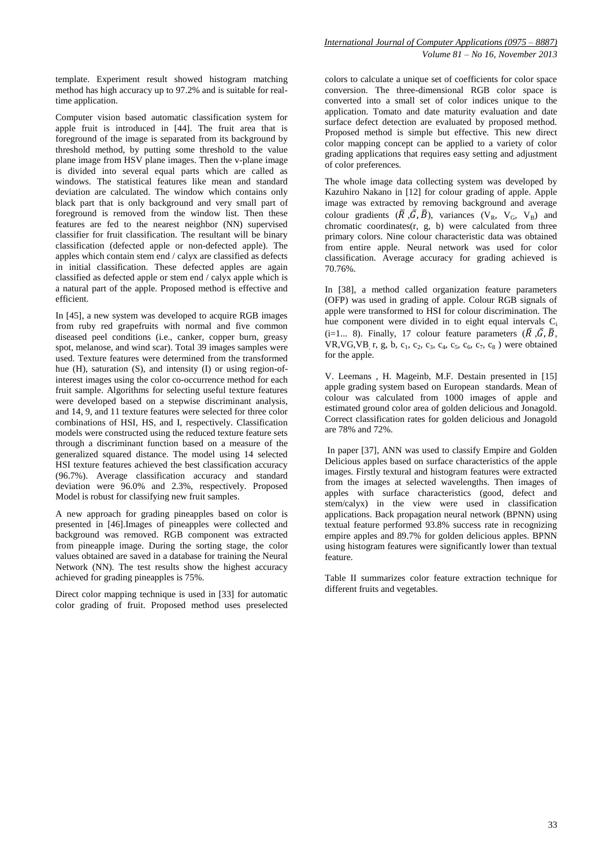template. Experiment result showed histogram matching method has high accuracy up to 97.2% and is suitable for realtime application.

Computer vision based automatic classification system for apple fruit is introduced in [44]. The fruit area that is foreground of the image is separated from its background by threshold method, by putting some threshold to the value plane image from HSV plane images. Then the v-plane image is divided into several equal parts which are called as windows. The statistical features like mean and standard deviation are calculated. The window which contains only black part that is only background and very small part of foreground is removed from the window list. Then these features are fed to the nearest neighbor (NN) supervised classifier for fruit classification. The resultant will be binary classification (defected apple or non-defected apple). The apples which contain stem end / calyx are classified as defects in initial classification. These defected apples are again classified as defected apple or stem end / calyx apple which is a natural part of the apple. Proposed method is effective and efficient.

In [45], a new system was developed to acquire RGB images from ruby red grapefruits with normal and five common diseased peel conditions (i.e., canker, copper burn, greasy spot, melanose, and wind scar). Total 39 images samples were used. Texture features were determined from the transformed hue (H), saturation (S), and intensity (I) or using region-ofinterest images using the color co-occurrence method for each fruit sample. Algorithms for selecting useful texture features were developed based on a stepwise discriminant analysis, and 14, 9, and 11 texture features were selected for three color combinations of HSI, HS, and I, respectively. Classification models were constructed using the reduced texture feature sets through a discriminant function based on a measure of the generalized squared distance. The model using 14 selected HSI texture features achieved the best classification accuracy (96.7%). Average classification accuracy and standard deviation were 96.0% and 2.3%, respectively. Proposed Model is robust for classifying new fruit samples.

A new approach for grading pineapples based on color is presented in [46].Images of pineapples were collected and background was removed. RGB component was extracted from pineapple image. During the sorting stage, the color values obtained are saved in a database for training the Neural Network (NN). The test results show the highest accuracy achieved for grading pineapples is 75%.

Direct color mapping technique is used in [33] for automatic color grading of fruit. Proposed method uses preselected

colors to calculate a unique set of coefficients for color space conversion. The three-dimensional RGB color space is converted into a small set of color indices unique to the application. Tomato and date maturity evaluation and date surface defect detection are evaluated by proposed method. Proposed method is simple but effective. This new direct color mapping concept can be applied to a variety of color grading applications that requires easy setting and adjustment of color preferences.

The whole image data collecting system was developed by Kazuhiro Nakano in [12] for colour grading of apple. Apple image was extracted by removing background and average colour gradients  $(\overline{R}, \overline{G}, \overline{B})$ , variances  $(V_R, V_G, V_B)$  and chromatic coordinates(r, g, b) were calculated from three primary colors. Nine colour characteristic data was obtained from entire apple. Neural network was used for color classification. Average accuracy for grading achieved is 70.76%.

In [38], a method called organization feature parameters (OFP) was used in grading of apple. Colour RGB signals of apple were transformed to HSI for colour discrimination. The hue component were divided in to eight equal intervals  $C_i$ (i=1... 8). Finally, 17 colour feature parameters  $(\overline{R}, \overline{G}, \overline{B})$ . VR, VG, VB<sub>, r, g, b, c<sub>1</sub>, c<sub>2</sub>, c<sub>3</sub>, c<sub>4</sub>, c<sub>5</sub>, c<sub>6</sub>, c<sub>7</sub>, c<sub>8</sub>) were obtained</sub> for the apple.

V. Leemans , H. Mageinb, M.F. Destain presented in [15] apple grading system based on European standards. Mean of colour was calculated from 1000 images of apple and estimated ground color area of golden delicious and Jonagold. Correct classification rates for golden delicious and Jonagold are 78% and 72%.

In paper [37], ANN was used to classify Empire and Golden Delicious apples based on surface characteristics of the apple images. Firstly textural and histogram features were extracted from the images at selected wavelengths. Then images of apples with surface characteristics (good, defect and stem/calyx) in the view were used in classification applications. Back propagation neural network (BPNN) using textual feature performed 93.8% success rate in recognizing empire apples and 89.7% for golden delicious apples. BPNN using histogram features were significantly lower than textual feature.

Table II summarizes color feature extraction technique for different fruits and vegetables.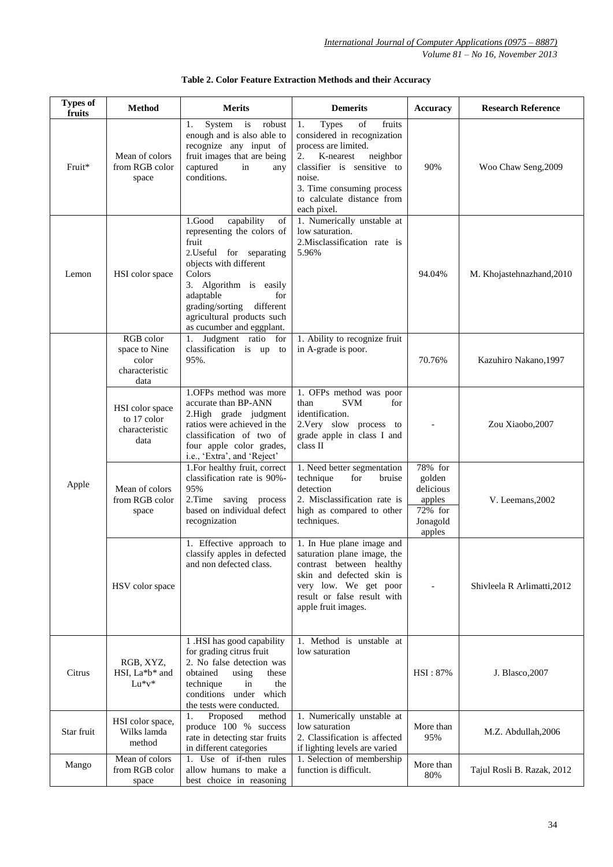| <b>Types of</b><br>fruits | <b>Method</b>                                                 | <b>Merits</b>                                                                                                                                                                                                                                                           | <b>Demerits</b>                                                                                                                                                                                                                            | <b>Accuracy</b>                                                           | <b>Research Reference</b>   |
|---------------------------|---------------------------------------------------------------|-------------------------------------------------------------------------------------------------------------------------------------------------------------------------------------------------------------------------------------------------------------------------|--------------------------------------------------------------------------------------------------------------------------------------------------------------------------------------------------------------------------------------------|---------------------------------------------------------------------------|-----------------------------|
| Fruit*                    | Mean of colors<br>from RGB color<br>space                     | robust<br>System<br>is<br>1.<br>enough and is also able to<br>recognize any input of<br>fruit images that are being<br>captured<br>in<br>any<br>conditions.                                                                                                             | fruits<br>1.<br><b>Types</b><br>of<br>considered in recognization<br>process are limited.<br>2.<br>K-nearest<br>neighbor<br>classifier is sensitive to<br>noise.<br>3. Time consuming process<br>to calculate distance from<br>each pixel. | 90%                                                                       | Woo Chaw Seng, 2009         |
| Lemon                     | HSI color space                                               | 1.Good<br>capability<br>of<br>representing the colors of<br>fruit<br>2. Useful for separating<br>objects with different<br>Colors<br>3. Algorithm is easily<br>adaptable<br>for<br>grading/sorting different<br>agricultural products such<br>as cucumber and eggplant. | 1. Numerically unstable at<br>low saturation.<br>2. Misclassification rate is<br>5.96%                                                                                                                                                     | 94.04%                                                                    | M. Khojastehnazhand, 2010   |
|                           | RGB color<br>space to Nine<br>color<br>characteristic<br>data | 1. Judgment ratio for<br>classification is up to<br>95%.                                                                                                                                                                                                                | 1. Ability to recognize fruit<br>in A-grade is poor.                                                                                                                                                                                       | 70.76%                                                                    | Kazuhiro Nakano, 1997       |
| Apple                     | HSI color space<br>to 17 color<br>characteristic<br>data      | 1.OFPs method was more<br>accurate than BP-ANN<br>2.High grade judgment<br>ratios were achieved in the<br>classification of two of<br>four apple color grades,<br>i.e., 'Extra', and 'Reject'                                                                           | 1. OFPs method was poor<br>than<br><b>SVM</b><br>for<br>identification.<br>2. Very slow process to<br>grade apple in class I and<br>class II                                                                                               |                                                                           | Zou Xiaobo, 2007            |
|                           | Mean of colors<br>from RGB color<br>space                     | 1. For healthy fruit, correct<br>classification rate is 90%-<br>95%<br>2.Time saving process<br>based on individual defect<br>recognization                                                                                                                             | 1. Need better segmentation<br>technique<br>for<br>bruise<br>detection<br>2. Misclassification rate is<br>high as compared to other<br>techniques.                                                                                         | 78% for<br>golden<br>delicious<br>apples<br>72% for<br>Jonagold<br>apples | V. Leemans, 2002            |
|                           | HSV color space                                               | 1. Effective approach to<br>and non defected class.                                                                                                                                                                                                                     | 1. In Hue plane image and<br>classify apples in defected   saturation plane image, the<br>contrast between healthy<br>skin and defected skin is<br>very low. We get poor<br>result or false result with<br>apple fruit images.             |                                                                           | Shivleela R Arlimatti, 2012 |
| Citrus                    | RGB, XYZ,<br>HSI, La*b* and<br>$Lu*v*$                        | 1 .HSI has good capability<br>for grading citrus fruit<br>2. No false detection was<br>obtained<br>using<br>these<br>technique<br>in<br>the<br>conditions under which<br>the tests were conducted.                                                                      | Method is unstable at<br>1.<br>low saturation                                                                                                                                                                                              | HSI: 87%                                                                  | J. Blasco, 2007             |
| Star fruit                | HSI color space,<br>Wilks lamda<br>method                     | Proposed<br>1.<br>method<br>produce 100 % success<br>rate in detecting star fruits<br>in different categories                                                                                                                                                           | 1. Numerically unstable at<br>low saturation<br>2. Classification is affected<br>if lighting levels are varied                                                                                                                             | More than<br>95%                                                          | M.Z. Abdullah, 2006         |
| Mango                     | Mean of colors<br>from RGB color<br>space                     | 1. Use of if-then rules<br>allow humans to make a<br>best choice in reasoning                                                                                                                                                                                           | 1. Selection of membership<br>function is difficult.                                                                                                                                                                                       | More than<br>80%                                                          | Tajul Rosli B. Razak, 2012  |

| Table 2. Color Feature Extraction Methods and their Accuracy |  |
|--------------------------------------------------------------|--|
|--------------------------------------------------------------|--|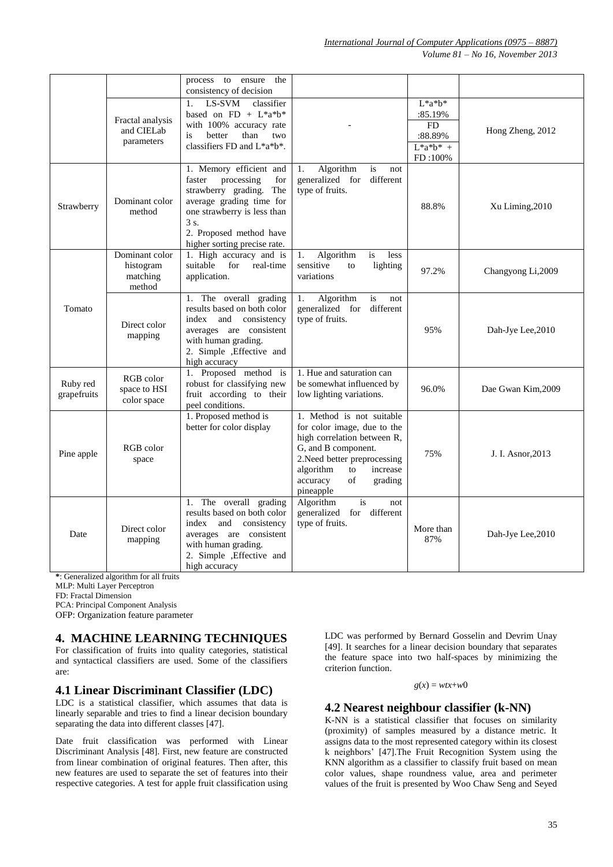*International Journal of Computer Applications (0975 – 8887)*

*Volume 81 – No 16, November 2013*

|                         |                                                   | process to ensure the<br>consistency of decision                                                                                                                                                                   |                                                                                                                                                                                                                         |                                                                     |                    |
|-------------------------|---------------------------------------------------|--------------------------------------------------------------------------------------------------------------------------------------------------------------------------------------------------------------------|-------------------------------------------------------------------------------------------------------------------------------------------------------------------------------------------------------------------------|---------------------------------------------------------------------|--------------------|
|                         | Fractal analysis<br>and CIELab<br>parameters      | LS-SVM<br>classifier<br>1.<br>based on $FD + L^*a^*b^*$<br>with 100% accuracy rate<br>is<br>better<br>than<br>two<br>classifiers FD and $L^*a^*b^*$ .                                                              |                                                                                                                                                                                                                         | $L^*a^*b^*$<br>:85.19%<br>FD<br>:88.89%<br>$L^*a^*b^* +$<br>FD:100% | Hong Zheng, 2012   |
| Strawberry              | Dominant color<br>method                          | 1. Memory efficient and<br>processing<br>faster<br>for<br>strawberry grading.<br>The<br>average grading time for<br>one strawberry is less than<br>3 s.<br>2. Proposed method have<br>higher sorting precise rate. | Algorithm<br>is<br>1.<br>not<br>generalized for<br>different<br>type of fruits.                                                                                                                                         | 88.8%                                                               | Xu Liming, 2010    |
|                         | Dominant color<br>histogram<br>matching<br>method | 1. High accuracy and is<br>suitable<br>for<br>real-time<br>application.                                                                                                                                            | Algorithm<br>1.<br>is<br>less<br>sensitive<br>lighting<br>to<br>variations                                                                                                                                              | 97.2%                                                               | Changyong Li,2009  |
| Tomato                  | Direct color<br>mapping                           | 1. The overall grading<br>results based on both color<br>index<br>and<br>consistency<br>averages are consistent<br>with human grading.<br>2. Simple , Effective and<br>high accuracy                               | Algorithm<br>is<br>1.<br>not<br>generalized for<br>different<br>type of fruits.                                                                                                                                         | 95%                                                                 | Dah-Jye Lee, 2010  |
| Ruby red<br>grapefruits | RGB color<br>space to HSI<br>color space          | 1. Proposed method is<br>robust for classifying new<br>fruit according to their<br>peel conditions.                                                                                                                | 1. Hue and saturation can<br>be somewhat influenced by<br>low lighting variations.                                                                                                                                      | 96.0%                                                               | Dae Gwan Kim, 2009 |
| Pine apple              | RGB color<br>space                                | 1. Proposed method is<br>better for color display                                                                                                                                                                  | 1. Method is not suitable<br>for color image, due to the<br>high correlation between R,<br>G, and B component.<br>2. Need better preprocessing<br>algorithm<br>to<br>increase<br>accuracy<br>of<br>grading<br>pineapple | 75%                                                                 | J. I. Asnor, 2013  |
| Date                    | Direct color<br>mapping                           | The overall grading<br>1.<br>results based on both color<br>index and<br>consistency<br>averages are consistent<br>with human grading.<br>2. Simple , Effective and<br>high accuracy                               | Algorithm<br>is<br>not<br>generalized for different<br>type of fruits.                                                                                                                                                  | More than<br>87%                                                    | Dah-Jye Lee, 2010  |

**\***: Generalized algorithm for all fruits

MLP: Multi Layer Perceptron

FD: Fractal Dimension

PCA: Principal Component Analysis

OFP: Organization feature parameter

# **4. MACHINE LEARNING TECHNIQUES**

For classification of fruits into quality categories, statistical and syntactical classifiers are used. Some of the classifiers are:

#### **4.1 Linear Discriminant Classifier (LDC)**

LDC is a statistical classifier, which assumes that data is linearly separable and tries to find a linear decision boundary separating the data into different classes [47].

Date fruit classification was performed with Linear Discriminant Analysis [48]. First, new feature are constructed from linear combination of original features. Then after, this new features are used to separate the set of features into their respective categories. A test for apple fruit classification using

LDC was performed by Bernard Gosselin and Devrim Unay [49]. It searches for a linear decision boundary that separates the feature space into two half-spaces by minimizing the criterion function.

#### $g(x) = wtx + w0$

#### **4.2 Nearest neighbour classifier (k-NN)**

K-NN is a statistical classifier that focuses on similarity (proximity) of samples measured by a distance metric. It assigns data to the most represented category within its closest k neighbors' [47].The Fruit Recognition System using the KNN algorithm as a classifier to classify fruit based on mean color values, shape roundness value, area and perimeter values of the fruit is presented by Woo Chaw Seng and Seyed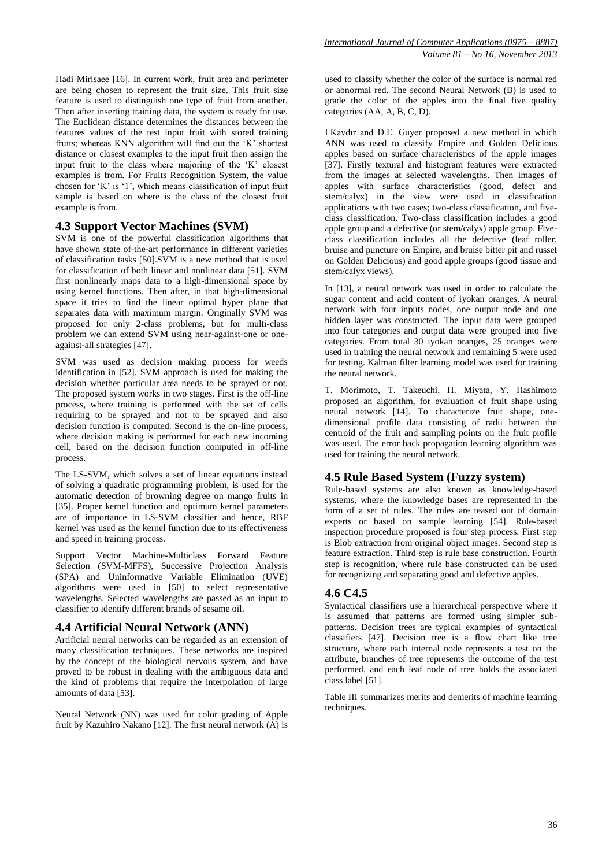Hadi Mirisaee [16]. In current work, fruit area and perimeter are being chosen to represent the fruit size. This fruit size feature is used to distinguish one type of fruit from another. Then after inserting training data, the system is ready for use. The Euclidean distance determines the distances between the features values of the test input fruit with stored training fruits; whereas KNN algorithm will find out the 'K' shortest distance or closest examples to the input fruit then assign the input fruit to the class where majoring of the 'K' closest examples is from. For Fruits Recognition System, the value chosen for 'K' is '1', which means classification of input fruit sample is based on where is the class of the closest fruit example is from.

# **4.3 Support Vector Machines (SVM)**

SVM is one of the powerful classification algorithms that have shown state of-the-art performance in different varieties of classification tasks [50].SVM is a new method that is used for classification of both linear and nonlinear data [51]. SVM first nonlinearly maps data to a high-dimensional space by using kernel functions. Then after, in that high-dimensional space it tries to find the linear optimal hyper plane that separates data with maximum margin. Originally SVM was proposed for only 2-class problems, but for multi-class problem we can extend SVM using near-against-one or oneagainst-all strategies [47].

SVM was used as decision making process for weeds identification in [52]. SVM approach is used for making the decision whether particular area needs to be sprayed or not. The proposed system works in two stages. First is the off-line process, where training is performed with the set of cells requiring to be sprayed and not to be sprayed and also decision function is computed. Second is the on-line process, where decision making is performed for each new incoming cell, based on the decision function computed in off-line process.

The LS-SVM, which solves a set of linear equations instead of solving a quadratic programming problem, is used for the automatic detection of browning degree on mango fruits in [35]. Proper kernel function and optimum kernel parameters are of importance in LS-SVM classifier and hence, RBF kernel was used as the kernel function due to its effectiveness and speed in training process.

Support Vector Machine-Multiclass Forward Feature Selection (SVM-MFFS), Successive Projection Analysis (SPA) and Uninformative Variable Elimination (UVE) algorithms were used in [50] to select representative wavelengths. Selected wavelengths are passed as an input to classifier to identify different brands of sesame oil.

# **4.4 Artificial Neural Network (ANN)**

Artificial neural networks can be regarded as an extension of many classification techniques. These networks are inspired by the concept of the biological nervous system, and have proved to be robust in dealing with the ambiguous data and the kind of problems that require the interpolation of large amounts of data [53].

Neural Network (NN) was used for color grading of Apple fruit by Kazuhiro Nakano [12]. The first neural network  $\overline{A}$  is

used to classify whether the color of the surface is normal red or abnormal red. The second Neural Network (B) is used to grade the color of the apples into the final five quality categories (AA, A, B, C, D).

I.Kavdır and D.E. Guyer proposed a new method in which ANN was used to classify Empire and Golden Delicious apples based on surface characteristics of the apple images [37]. Firstly textural and histogram features were extracted from the images at selected wavelengths. Then images of apples with surface characteristics (good, defect and stem/calyx) in the view were used in classification applications with two cases; two-class classification, and fiveclass classification. Two-class classification includes a good apple group and a defective (or stem/calyx) apple group. Fiveclass classification includes all the defective (leaf roller, bruise and puncture on Empire, and bruise bitter pit and russet on Golden Delicious) and good apple groups (good tissue and stem/calyx views).

In [13], a neural network was used in order to calculate the sugar content and acid content of iyokan oranges. A neural network with four inputs nodes, one output node and one hidden layer was constructed. The input data were grouped into four categories and output data were grouped into five categories. From total 30 iyokan oranges, 25 oranges were used in training the neural network and remaining 5 were used for testing. Kalman filter learning model was used for training the neural network.

T. Morimoto, T. Takeuchi, H. Miyata, Y. Hashimoto proposed an algorithm, for evaluation of fruit shape using neural network [14]. To characterize fruit shape, onedimensional profile data consisting of radii between the centroid of the fruit and sampling points on the fruit profile was used. The error back propagation learning algorithm was used for training the neural network.

# **4.5 Rule Based System (Fuzzy system)**

Rule-based systems are also known as knowledge-based systems, where the knowledge bases are represented in the form of a set of rules. The rules are teased out of domain experts or based on sample learning [54]. Rule-based inspection procedure proposed is four step process. First step is Blob extraction from original object images. Second step is feature extraction. Third step is rule base construction. Fourth step is recognition, where rule base constructed can be used for recognizing and separating good and defective apples.

# **4.6 C4.5**

Syntactical classifiers use a hierarchical perspective where it is assumed that patterns are formed using simpler subpatterns. Decision trees are typical examples of syntactical classifiers [47]. Decision tree is a flow chart like tree structure, where each internal node represents a test on the attribute, branches of tree represents the outcome of the test performed, and each leaf node of tree holds the associated class label [51].

Table III summarizes merits and demerits of machine learning techniques.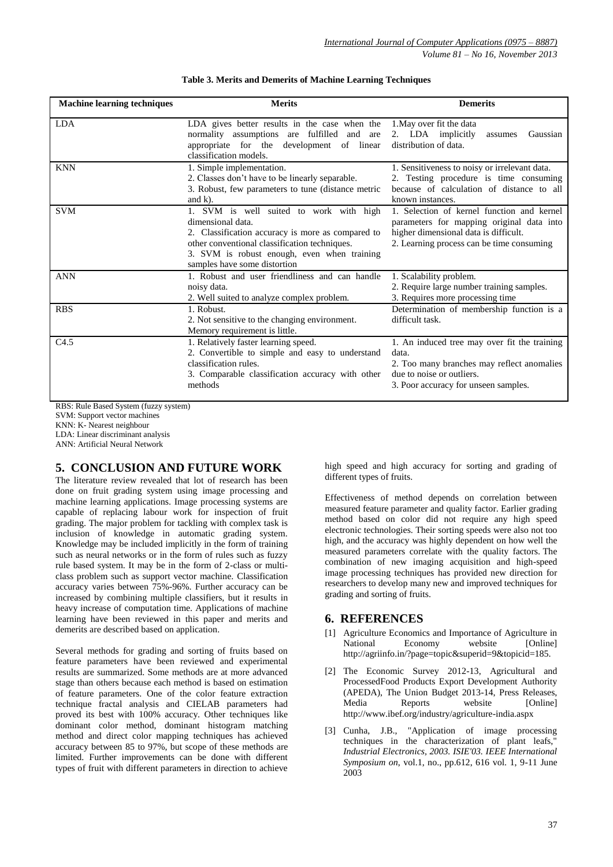| <b>Machine learning techniques</b><br><b>Merits</b> |                                                                                                                                                                                                                                                   | <b>Demerits</b>                                                                                                                                                               |  |  |
|-----------------------------------------------------|---------------------------------------------------------------------------------------------------------------------------------------------------------------------------------------------------------------------------------------------------|-------------------------------------------------------------------------------------------------------------------------------------------------------------------------------|--|--|
| <b>LDA</b>                                          | LDA gives better results in the case when the<br>normality assumptions are fulfilled and are<br>appropriate for the development of linear<br>classification models.                                                                               | 1. May over fit the data<br>2. LDA implicitly<br>Gaussian<br>assumes<br>distribution of data.                                                                                 |  |  |
| <b>KNN</b>                                          | 1. Simple implementation.<br>2. Classes don't have to be linearly separable.<br>3. Robust, few parameters to tune (distance metric<br>and $k$ ).                                                                                                  | 1. Sensitiveness to noisy or irrelevant data.<br>2. Testing procedure is time consuming<br>because of calculation of distance to all<br>known instances.                      |  |  |
| <b>SVM</b>                                          | 1. SVM is well suited to work with high<br>dimensional data.<br>2. Classification accuracy is more as compared to<br>other conventional classification techniques.<br>3. SVM is robust enough, even when training<br>samples have some distortion | 1. Selection of kernel function and kernel<br>parameters for mapping original data into<br>higher dimensional data is difficult.<br>2. Learning process can be time consuming |  |  |
| <b>ANN</b>                                          | 1. Robust and user friendliness and can handle<br>noisy data.<br>2. Well suited to analyze complex problem.                                                                                                                                       | 1. Scalability problem.<br>2. Require large number training samples.<br>3. Requires more processing time                                                                      |  |  |
| <b>RBS</b>                                          | 1. Robust.<br>2. Not sensitive to the changing environment.<br>Memory requirement is little.                                                                                                                                                      | Determination of membership function is a<br>difficult task.                                                                                                                  |  |  |
| C4.5                                                | 1. Relatively faster learning speed.<br>2. Convertible to simple and easy to understand<br>classification rules.<br>3. Comparable classification accuracy with other<br>methods                                                                   | 1. An induced tree may over fit the training<br>data.<br>2. Too many branches may reflect anomalies<br>due to noise or outliers.<br>3. Poor accuracy for unseen samples.      |  |  |

| Table 3. Merits and Demerits of Machine Learning Techniques |  |  |  |  |  |
|-------------------------------------------------------------|--|--|--|--|--|
|-------------------------------------------------------------|--|--|--|--|--|

RBS: Rule Based System (fuzzy system)

SVM: Support vector machines

KNN: K- Nearest neighbour

LDA: Linear discriminant analysis

ANN: Artificial Neural Network

# **5. CONCLUSION AND FUTURE WORK**

The literature review revealed that lot of research has been done on fruit grading system using image processing and machine learning applications. Image processing systems are capable of replacing labour work for inspection of fruit grading. The major problem for tackling with complex task is inclusion of knowledge in automatic grading system. Knowledge may be included implicitly in the form of training such as neural networks or in the form of rules such as fuzzy rule based system. It may be in the form of 2-class or multiclass problem such as support vector machine. Classification accuracy varies between 75%-96%. Further accuracy can be increased by combining multiple classifiers, but it results in heavy increase of computation time. Applications of machine learning have been reviewed in this paper and merits and demerits are described based on application.

Several methods for grading and sorting of fruits based on feature parameters have been reviewed and experimental results are summarized. Some methods are at more advanced stage than others because each method is based on estimation of feature parameters. One of the color feature extraction technique fractal analysis and CIELAB parameters had proved its best with 100% accuracy. Other techniques like dominant color method, dominant histogram matching method and direct color mapping techniques has achieved accuracy between 85 to 97%, but scope of these methods are limited. Further improvements can be done with different types of fruit with different parameters in direction to achieve high speed and high accuracy for sorting and grading of different types of fruits.

Effectiveness of method depends on correlation between measured feature parameter and quality factor. Earlier grading method based on color did not require any high speed electronic technologies. Their sorting speeds were also not too high, and the accuracy was highly dependent on how well the measured parameters correlate with the quality factors. The combination of new imaging acquisition and high-speed image processing techniques has provided new direction for researchers to develop many new and improved techniques for grading and sorting of fruits.

# **6. REFERENCES**

- [1] Agriculture Economics and Importance of Agriculture in National Economy website [Online] http://agriinfo.in/?page=topic&superid=9&topicid=185.
- [2] The Economic Survey 2012-13, Agricultural and ProcessedFood Products Export Development Authority (APEDA), The Union Budget 2013-14, Press Releases, [Online] http://www.ibef.org/industry/agriculture-india.aspx
- [3] Cunha, J.B., "Application of image processing techniques in the characterization of plant leafs," *Industrial Electronics, 2003. ISIE'03. IEEE International Symposium on*, vol.1, no., pp.612, 616 vol. 1, 9-11 June 2003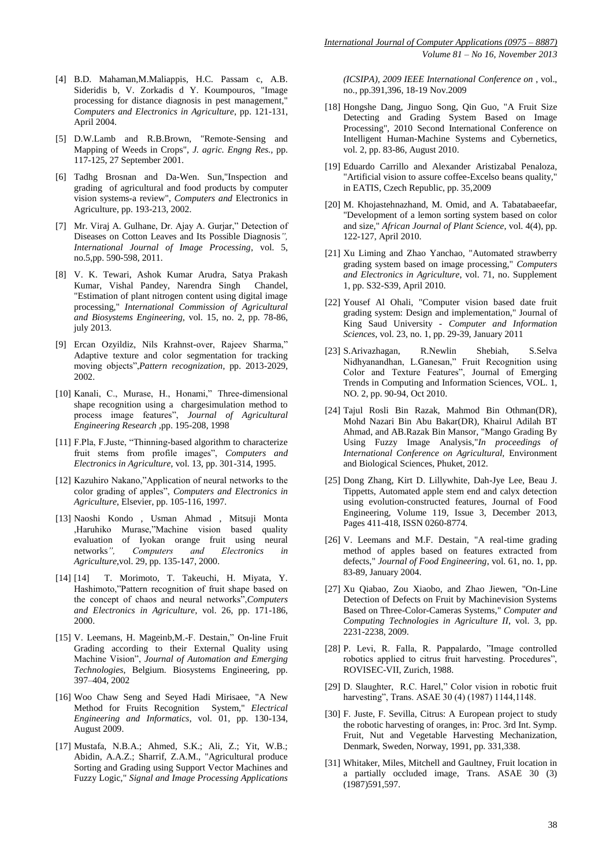- [4] B.D. Mahaman,M.Maliappis, H.C. Passam c, A.B. Sideridis b, V. Zorkadis d Y. Koumpouros, "Image processing for distance diagnosis in pest management," *Computers and Electronics in Agriculture*, pp. 121-131, April 2004.
- [5] D.W.Lamb and R.B.Brown, "Remote-Sensing and Mapping of Weeds in Crops", *J. agric. Engng Res.,* pp. 117-125, 27 September 2001.
- [6] Tadhg Brosnan and Da-Wen. Sun,"Inspection and grading of agricultural and food products by computer vision systems-a review", *Computers and* Electronics in Agriculture, pp. 193-213, 2002.
- [7] Mr. Viraj A. Gulhane, Dr. Ajay A. Gurjar," Detection of Diseases on Cotton Leaves and Its Possible Diagnosis*", International Journal of Image Processing*, vol. 5, no.5,pp. 590-598, 2011.
- [8] V. K. Tewari, Ashok Kumar Arudra, Satya Prakash Kumar, Vishal Pandey, Narendra Singh Chandel, "Estimation of plant nitrogen content using digital image processing," *International Commission of Agricultural and Biosystems Engineering,* vol. 15, no. 2, pp. 78-86, july 2013.
- [9] Ercan Ozyildiz, Nils Krahnst-over, Rajeev Sharma," Adaptive texture and color segmentation for tracking moving objects",*Pattern recognization*, pp. 2013-2029, 2002.
- [10] Kanali, C., Murase, H., Honami," Three-dimensional shape recognition using a chargesimulation method to process image features", *Journal of Agricultural Engineering Research* ,pp. 195-208, 1998
- [11] F.Pla, F.Juste, "Thinning-based algorithm to characterize fruit stems from profile images", *Computers and Electronics in Agriculture*, vol. 13, pp. 301-314, 1995.
- [12] Kazuhiro Nakano,"Application of neural networks to the color grading of apples", *Computers and Electronics in Agriculture*, Elsevier, pp. 105-116, 1997.
- [13] Naoshi Kondo , Usman Ahmad , Mitsuji Monta ,Haruhiko Murase,"Machine vision based quality evaluation of Iyokan orange fruit using neural networks*", Computers and Electronics in Agriculture,*vol. 29, pp. 135-147, 2000.
- [14] [14] T. Morimoto, T. Takeuchi, H. Miyata, Y. Hashimoto,"Pattern recognition of fruit shape based on the concept of chaos and neural networks",*Computers and Electronics in Agriculture*, vol. 26, pp. 171-186, 2000.
- [15] V. Leemans, H. Mageinb,M.-F. Destain," On-line Fruit Grading according to their External Quality using Machine Vision", *Journal of Automation and Emerging Technologies*, Belgium. Biosystems Engineering, pp. 397–404, 2002
- [16] Woo Chaw Seng and Seyed Hadi Mirisaee, "A New Method for Fruits Recognition System," *Electrical Engineering and Informatics*, vol. 01, pp. 130-134, August 2009.
- [17] Mustafa, N.B.A.; Ahmed, S.K.; Ali, Z.; Yit, W.B.; Abidin, A.A.Z.; Sharrif, Z.A.M., "Agricultural produce Sorting and Grading using Support Vector Machines and Fuzzy Logic," *Signal and Image Processing Applications*

*(ICSIPA), 2009 IEEE International Conference on* , vol., no., pp.391,396, 18-19 Nov.2009

- [18] Hongshe Dang, Jinguo Song, Qin Guo, "A Fruit Size Detecting and Grading System Based on Image Processing", 2010 Second International Conference on Intelligent Human-Machine Systems and Cybernetics, vol. 2, pp. 83-86, August 2010.
- [19] Eduardo Carrillo and Alexander Aristizabal Penaloza, "Artificial vision to assure coffee-Excelso beans quality," in EATIS, Czech Republic, pp. 35,2009
- [20] M. Khojastehnazhand, M. Omid, and A. Tabatabaeefar, "Development of a lemon sorting system based on color and size," *African Journal of Plant Science*, vol. 4(4), pp. 122-127, April 2010.
- [21] Xu Liming and Zhao Yanchao, "Automated strawberry grading system based on image processing," *Computers and Electronics in Agriculture*, vol. 71, no. Supplement 1, pp. S32-S39, April 2010.
- [22] Yousef Al Ohali, "Computer vision based date fruit grading system: Design and implementation," Journal of King Saud University - *Computer and Information Sciences*, vol. 23, no. 1, pp. 29-39, January 2011
- [23] S.Arivazhagan, R.Newlin Shebiah, S.Selva Nidhyanandhan, L.Ganesan," Fruit Recognition using Color and Texture Features", Journal of Emerging Trends in Computing and Information Sciences, VOL. 1, NO. 2, pp. 90-94, Oct 2010.
- [24] Tajul Rosli Bin Razak, Mahmod Bin Othman(DR), Mohd Nazari Bin Abu Bakar(DR), Khairul Adilah BT Ahmad, and AB.Razak Bin Mansor, "Mango Grading By Using Fuzzy Image Analysis,"*In proceedings of International Conference on Agricultural,* Environment and Biological Sciences, Phuket, 2012.
- [25] Dong Zhang, Kirt D. Lillywhite, Dah-Jye Lee, Beau J. Tippetts, Automated apple stem end and calyx detection using evolution-constructed features, Journal of Food Engineering, Volume 119, Issue 3, December 2013, Pages 411-418, ISSN 0260-8774.
- [26] V. Leemans and M.F. Destain, "A real-time grading method of apples based on features extracted from defects," *Journal of Food Engineering*, vol. 61, no. 1, pp. 83-89, January 2004.
- [27] Xu Qiabao, Zou Xiaobo, and Zhao Jiewen, "On-Line Detection of Defects on Fruit by Machinevision Systems Based on Three-Color-Cameras Systems," *Computer and Computing Technologies in Agriculture II*, vol. 3, pp. 2231-2238, 2009.
- [28] P. Levi, R. Falla, R. Pappalardo, "Image controlled robotics applied to citrus fruit harvesting. Procedures", ROVISEC-VII, Zurich, 1988.
- [29] D. Slaughter, R.C. Harel," Color vision in robotic fruit harvesting", Trans. ASAE 30 (4) (1987) 1144,1148.
- [30] F. Juste, F. Sevilla, Citrus: A European project to study the robotic harvesting of oranges, in: Proc. 3rd Int. Symp. Fruit, Nut and Vegetable Harvesting Mechanization, Denmark, Sweden, Norway, 1991, pp. 331,338.
- [31] Whitaker, Miles, Mitchell and Gaultney, Fruit location in a partially occluded image, Trans. ASAE 30 (3) (1987)591,597.